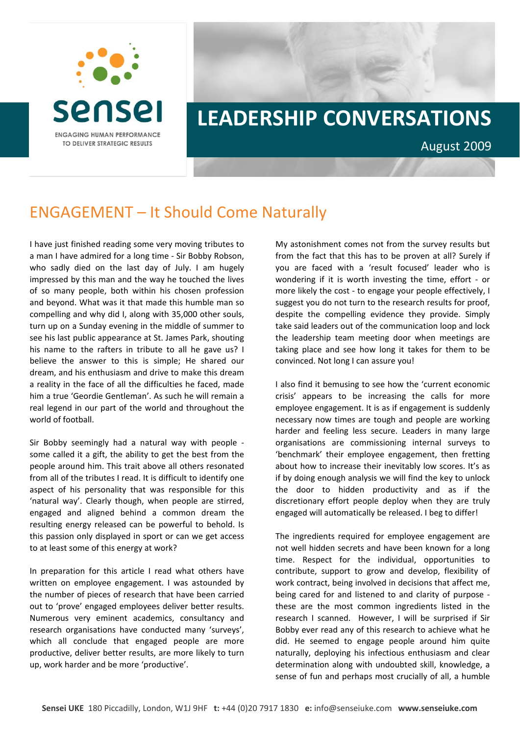

## **LEADERSHIP CONVERSATIONS** August 2009

## ENGAGEMENT – It Should Come Naturally

I have just finished reading some very moving tributes to a man I have admired for a long time ‐ Sir Bobby Robson, who sadly died on the last day of July. I am hugely impressed by this man and the way he touched the lives of so many people, both within his chosen profession and beyond. What was it that made this humble man so compelling and why did I, along with 35,000 other souls, turn up on a Sunday evening in the middle of summer to see his last public appearance at St. James Park, shouting his name to the rafters in tribute to all he gave us? I believe the answer to this is simple; He shared our dream, and his enthusiasm and drive to make this dream a reality in the face of all the difficulties he faced, made him a true 'Geordie Gentleman'. As such he will remain a real legend in our part of the world and throughout the world of football.

Sir Bobby seemingly had a natural way with people ‐ some called it a gift, the ability to get the best from the people around him. This trait above all others resonated from all of the tributes I read. It is difficult to identify one aspect of his personality that was responsible for this 'natural way'. Clearly though, when people are stirred, engaged and aligned behind a common dream the resulting energy released can be powerful to behold. Is this passion only displayed in sport or can we get access to at least some of this energy at work?

In preparation for this article I read what others have written on employee engagement. I was astounded by the number of pieces of research that have been carried out to 'prove' engaged employees deliver better results. Numerous very eminent academics, consultancy and research organisations have conducted many 'surveys', which all conclude that engaged people are more productive, deliver better results, are more likely to turn up, work harder and be more 'productive'.

My astonishment comes not from the survey results but from the fact that this has to be proven at all? Surely if you are faced with a 'result focused' leader who is wondering if it is worth investing the time, effort - or more likely the cost ‐ to engage your people effectively, I suggest you do not turn to the research results for proof, despite the compelling evidence they provide. Simply take said leaders out of the communication loop and lock the leadership team meeting door when meetings are taking place and see how long it takes for them to be convinced. Not long I can assure you!

I also find it bemusing to see how the 'current economic crisis' appears to be increasing the calls for more employee engagement. It is as if engagement is suddenly necessary now times are tough and people are working harder and feeling less secure. Leaders in many large organisations are commissioning internal surveys to 'benchmark' their employee engagement, then fretting about how to increase their inevitably low scores. It's as if by doing enough analysis we will find the key to unlock the door to hidden productivity and as if the discretionary effort people deploy when they are truly engaged will automatically be released. I beg to differ!

The ingredients required for employee engagement are not well hidden secrets and have been known for a long time. Respect for the individual, opportunities to contribute, support to grow and develop, flexibility of work contract, being involved in decisions that affect me, being cared for and listened to and clarity of purpose ‐ these are the most common ingredients listed in the research I scanned. However, I will be surprised if Sir Bobby ever read any of this research to achieve what he did. He seemed to engage people around him quite naturally, deploying his infectious enthusiasm and clear determination along with undoubted skill, knowledge, a sense of fun and perhaps most crucially of all, a humble